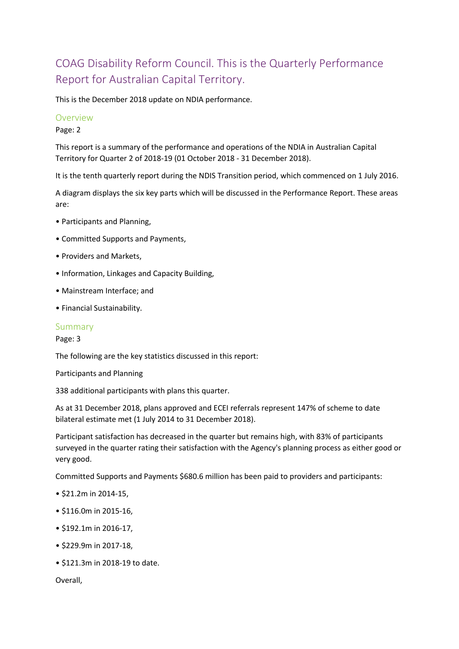# COAG Disability Reform Council. This is the Quarterly Performance Report for Australian Capital Territory.

This is the December 2018 update on NDIA performance.

#### Overview

Page: 2

This report is a summary of the performance and operations of the NDIA in Australian Capital Territory for Quarter 2 of 2018-19 (01 October 2018 - 31 December 2018).

It is the tenth quarterly report during the NDIS Transition period, which commenced on 1 July 2016.

A diagram displays the six key parts which will be discussed in the Performance Report. These areas are:

- Participants and Planning,
- Committed Supports and Payments,
- Providers and Markets,
- Information, Linkages and Capacity Building,
- Mainstream Interface; and
- Financial Sustainability.

#### Summary

Page: 3

The following are the key statistics discussed in this report:

Participants and Planning

338 additional participants with plans this quarter.

As at 31 December 2018, plans approved and ECEI referrals represent 147% of scheme to date bilateral estimate met (1 July 2014 to 31 December 2018).

Participant satisfaction has decreased in the quarter but remains high, with 83% of participants surveyed in the quarter rating their satisfaction with the Agency's planning process as either good or very good.

Committed Supports and Payments \$680.6 million has been paid to providers and participants:

- \$21.2m in 2014-15,
- \$116.0m in 2015-16,
- \$192.1m in 2016-17,
- \$229.9m in 2017-18,
- \$121.3m in 2018-19 to date.

Overall,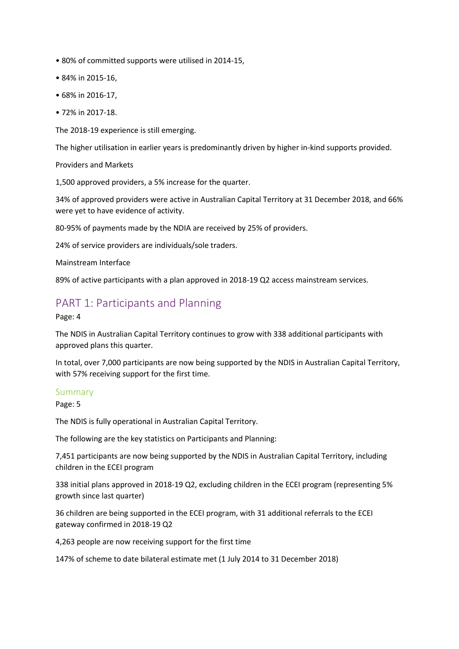- 80% of committed supports were utilised in 2014-15,
- 84% in 2015-16,
- 68% in 2016-17,
- 72% in 2017-18.

The 2018-19 experience is still emerging.

The higher utilisation in earlier years is predominantly driven by higher in-kind supports provided.

Providers and Markets

1,500 approved providers, a 5% increase for the quarter.

34% of approved providers were active in Australian Capital Territory at 31 December 2018, and 66% were yet to have evidence of activity.

80-95% of payments made by the NDIA are received by 25% of providers.

24% of service providers are individuals/sole traders.

Mainstream Interface

89% of active participants with a plan approved in 2018-19 Q2 access mainstream services.

## PART 1: Participants and Planning

Page: 4

The NDIS in Australian Capital Territory continues to grow with 338 additional participants with approved plans this quarter.

In total, over 7,000 participants are now being supported by the NDIS in Australian Capital Territory, with 57% receiving support for the first time.

#### Summary

Page: 5

The NDIS is fully operational in Australian Capital Territory.

The following are the key statistics on Participants and Planning:

7,451 participants are now being supported by the NDIS in Australian Capital Territory, including children in the ECEI program

338 initial plans approved in 2018-19 Q2, excluding children in the ECEI program (representing 5% growth since last quarter)

36 children are being supported in the ECEI program, with 31 additional referrals to the ECEI gateway confirmed in 2018-19 Q2

4,263 people are now receiving support for the first time

147% of scheme to date bilateral estimate met (1 July 2014 to 31 December 2018)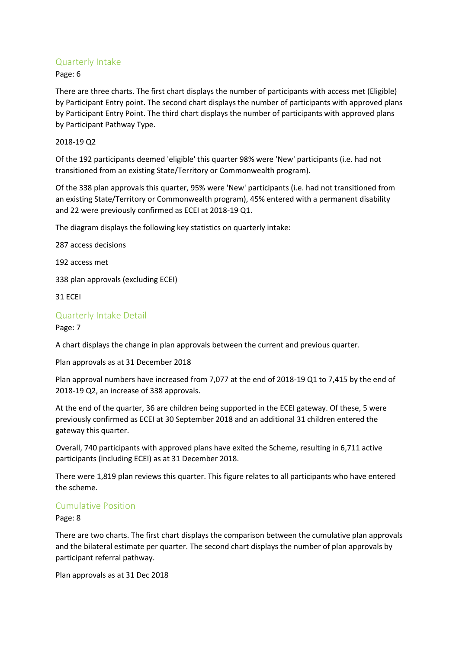## Quarterly Intake

Page: 6

There are three charts. The first chart displays the number of participants with access met (Eligible) by Participant Entry point. The second chart displays the number of participants with approved plans by Participant Entry Point. The third chart displays the number of participants with approved plans by Participant Pathway Type.

### 2018-19 Q2

Of the 192 participants deemed 'eligible' this quarter 98% were 'New' participants (i.e. had not transitioned from an existing State/Territory or Commonwealth program).

Of the 338 plan approvals this quarter, 95% were 'New' participants (i.e. had not transitioned from an existing State/Territory or Commonwealth program), 45% entered with a permanent disability and 22 were previously confirmed as ECEI at 2018-19 Q1.

The diagram displays the following key statistics on quarterly intake:

287 access decisions

192 access met

338 plan approvals (excluding ECEI)

31 ECEI

## Quarterly Intake Detail

Page: 7

A chart displays the change in plan approvals between the current and previous quarter.

Plan approvals as at 31 December 2018

Plan approval numbers have increased from 7,077 at the end of 2018-19 Q1 to 7,415 by the end of 2018-19 Q2, an increase of 338 approvals.

At the end of the quarter, 36 are children being supported in the ECEI gateway. Of these, 5 were previously confirmed as ECEI at 30 September 2018 and an additional 31 children entered the gateway this quarter.

Overall, 740 participants with approved plans have exited the Scheme, resulting in 6,711 active participants (including ECEI) as at 31 December 2018.

There were 1,819 plan reviews this quarter. This figure relates to all participants who have entered the scheme.

## Cumulative Position

Page: 8

There are two charts. The first chart displays the comparison between the cumulative plan approvals and the bilateral estimate per quarter. The second chart displays the number of plan approvals by participant referral pathway.

Plan approvals as at 31 Dec 2018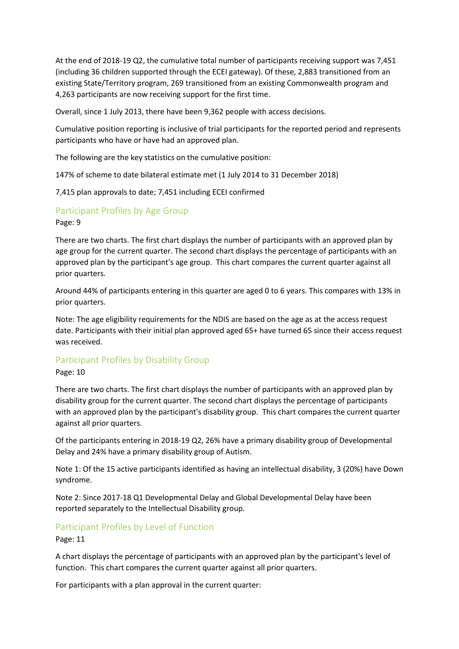At the end of 2018-19 Q2, the cumulative total number of participants receiving support was 7,451 (including 36 children supported through the ECEI gateway). Of these, 2,883 transitioned from an existing State/Territory program, 269 transitioned from an existing Commonwealth program and 4,263 participants are now receiving support for the first time.

Overall, since 1 July 2013, there have been 9,362 people with access decisions.

Cumulative position reporting is inclusive of trial participants for the reported period and represents participants who have or have had an approved plan.

The following are the key statistics on the cumulative position:

147% of scheme to date bilateral estimate met (1 July 2014 to 31 December 2018)

7,415 plan approvals to date; 7,451 including ECEI confirmed

## Participant Profiles by Age Group

Page: 9

There are two charts. The first chart displays the number of participants with an approved plan by age group for the current quarter. The second chart displays the percentage of participants with an approved plan by the participant's age group. This chart compares the current quarter against all prior quarters.

Around 44% of participants entering in this quarter are aged 0 to 6 years. This compares with 13% in prior quarters.

Note: The age eligibility requirements for the NDIS are based on the age as at the access request date. Participants with their initial plan approved aged 65+ have turned 65 since their access request was received.

#### Participant Profiles by Disability Group

#### Page: 10

There are two charts. The first chart displays the number of participants with an approved plan by disability group for the current quarter. The second chart displays the percentage of participants with an approved plan by the participant's disability group. This chart compares the current quarter against all prior quarters.

Of the participants entering in 2018-19 Q2, 26% have a primary disability group of Developmental Delay and 24% have a primary disability group of Autism.

Note 1: Of the 15 active participants identified as having an intellectual disability, 3 (20%) have Down syndrome.

Note 2: Since 2017-18 Q1 Developmental Delay and Global Developmental Delay have been reported separately to the Intellectual Disability group.

#### Participant Profiles by Level of Function

Page: 11

A chart displays the percentage of participants with an approved plan by the participant's level of function. This chart compares the current quarter against all prior quarters.

For participants with a plan approval in the current quarter: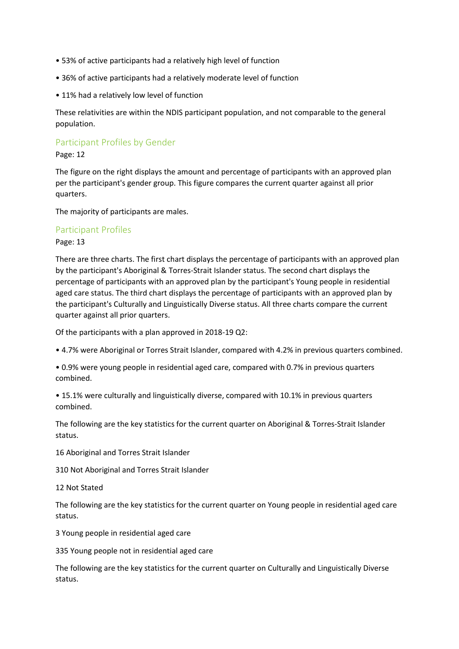- 53% of active participants had a relatively high level of function
- 36% of active participants had a relatively moderate level of function
- 11% had a relatively low level of function

These relativities are within the NDIS participant population, and not comparable to the general population.

## Participant Profiles by Gender

#### Page: 12

The figure on the right displays the amount and percentage of participants with an approved plan per the participant's gender group. This figure compares the current quarter against all prior quarters.

The majority of participants are males.

#### Participant Profiles

#### Page: 13

There are three charts. The first chart displays the percentage of participants with an approved plan by the participant's Aboriginal & Torres-Strait Islander status. The second chart displays the percentage of participants with an approved plan by the participant's Young people in residential aged care status. The third chart displays the percentage of participants with an approved plan by the participant's Culturally and Linguistically Diverse status. All three charts compare the current quarter against all prior quarters.

Of the participants with a plan approved in 2018-19 Q2:

• 4.7% were Aboriginal or Torres Strait Islander, compared with 4.2% in previous quarters combined.

• 0.9% were young people in residential aged care, compared with 0.7% in previous quarters combined.

• 15.1% were culturally and linguistically diverse, compared with 10.1% in previous quarters combined.

The following are the key statistics for the current quarter on Aboriginal & Torres-Strait Islander status.

16 Aboriginal and Torres Strait Islander

310 Not Aboriginal and Torres Strait Islander

#### 12 Not Stated

The following are the key statistics for the current quarter on Young people in residential aged care status.

3 Young people in residential aged care

335 Young people not in residential aged care

The following are the key statistics for the current quarter on Culturally and Linguistically Diverse status.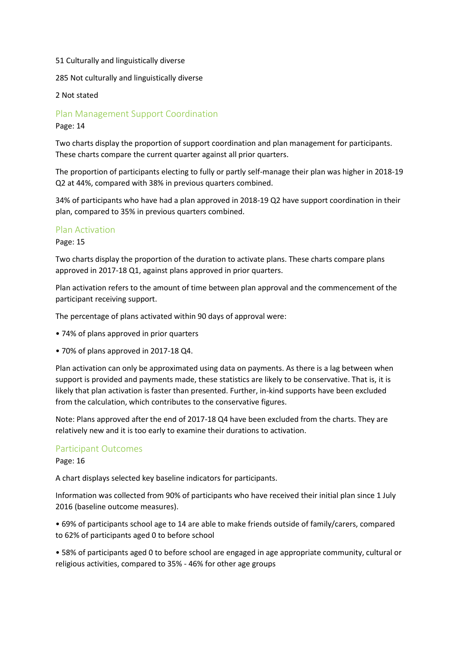#### 51 Culturally and linguistically diverse

285 Not culturally and linguistically diverse

2 Not stated

#### Plan Management Support Coordination

Page: 14

Two charts display the proportion of support coordination and plan management for participants. These charts compare the current quarter against all prior quarters.

The proportion of participants electing to fully or partly self-manage their plan was higher in 2018-19 Q2 at 44%, compared with 38% in previous quarters combined.

34% of participants who have had a plan approved in 2018-19 Q2 have support coordination in their plan, compared to 35% in previous quarters combined.

#### Plan Activation

#### Page: 15

Two charts display the proportion of the duration to activate plans. These charts compare plans approved in 2017-18 Q1, against plans approved in prior quarters.

Plan activation refers to the amount of time between plan approval and the commencement of the participant receiving support.

The percentage of plans activated within 90 days of approval were:

- 74% of plans approved in prior quarters
- 70% of plans approved in 2017-18 Q4.

Plan activation can only be approximated using data on payments. As there is a lag between when support is provided and payments made, these statistics are likely to be conservative. That is, it is likely that plan activation is faster than presented. Further, in-kind supports have been excluded from the calculation, which contributes to the conservative figures.

Note: Plans approved after the end of 2017-18 Q4 have been excluded from the charts. They are relatively new and it is too early to examine their durations to activation.

#### Participant Outcomes

Page: 16

A chart displays selected key baseline indicators for participants.

Information was collected from 90% of participants who have received their initial plan since 1 July 2016 (baseline outcome measures).

• 69% of participants school age to 14 are able to make friends outside of family/carers, compared to 62% of participants aged 0 to before school

• 58% of participants aged 0 to before school are engaged in age appropriate community, cultural or religious activities, compared to 35% - 46% for other age groups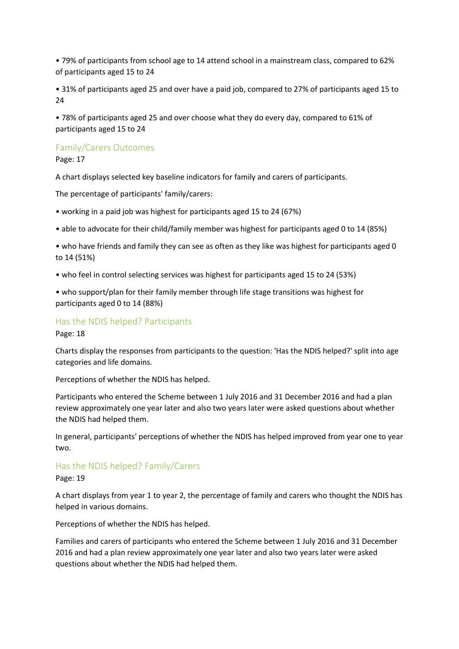• 79% of participants from school age to 14 attend school in a mainstream class, compared to 62% of participants aged 15 to 24

• 31% of participants aged 25 and over have a paid job, compared to 27% of participants aged 15 to 24

• 78% of participants aged 25 and over choose what they do every day, compared to 61% of participants aged 15 to 24

### Family/Carers Outcomes

Page: 17

A chart displays selected key baseline indicators for family and carers of participants.

The percentage of participants' family/carers:

- working in a paid job was highest for participants aged 15 to 24 (67%)
- able to advocate for their child/family member was highest for participants aged 0 to 14 (85%)
- who have friends and family they can see as often as they like was highest for participants aged 0 to 14 (51%)
- who feel in control selecting services was highest for participants aged 15 to 24 (53%)

• who support/plan for their family member through life stage transitions was highest for participants aged 0 to 14 (88%)

#### Has the NDIS helped? Participants

Page: 18

Charts display the responses from participants to the question: 'Has the NDIS helped?' split into age categories and life domains.

Perceptions of whether the NDIS has helped.

Participants who entered the Scheme between 1 July 2016 and 31 December 2016 and had a plan review approximately one year later and also two years later were asked questions about whether the NDIS had helped them.

In general, participants' perceptions of whether the NDIS has helped improved from year one to year two.

#### Has the NDIS helped? Family/Carers

Page: 19

A chart displays from year 1 to year 2, the percentage of family and carers who thought the NDIS has helped in various domains.

Perceptions of whether the NDIS has helped.

Families and carers of participants who entered the Scheme between 1 July 2016 and 31 December 2016 and had a plan review approximately one year later and also two years later were asked questions about whether the NDIS had helped them.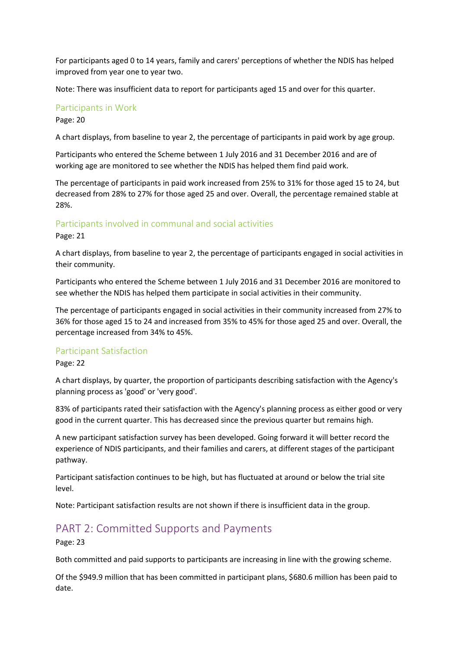For participants aged 0 to 14 years, family and carers' perceptions of whether the NDIS has helped improved from year one to year two.

Note: There was insufficient data to report for participants aged 15 and over for this quarter.

#### Participants in Work

#### Page: 20

A chart displays, from baseline to year 2, the percentage of participants in paid work by age group.

Participants who entered the Scheme between 1 July 2016 and 31 December 2016 and are of working age are monitored to see whether the NDIS has helped them find paid work.

The percentage of participants in paid work increased from 25% to 31% for those aged 15 to 24, but decreased from 28% to 27% for those aged 25 and over. Overall, the percentage remained stable at 28%.

### Participants involved in communal and social activities

Page: 21

A chart displays, from baseline to year 2, the percentage of participants engaged in social activities in their community.

Participants who entered the Scheme between 1 July 2016 and 31 December 2016 are monitored to see whether the NDIS has helped them participate in social activities in their community.

The percentage of participants engaged in social activities in their community increased from 27% to 36% for those aged 15 to 24 and increased from 35% to 45% for those aged 25 and over. Overall, the percentage increased from 34% to 45%.

#### Participant Satisfaction

#### Page: 22

A chart displays, by quarter, the proportion of participants describing satisfaction with the Agency's planning process as 'good' or 'very good'.

83% of participants rated their satisfaction with the Agency's planning process as either good or very good in the current quarter. This has decreased since the previous quarter but remains high.

A new participant satisfaction survey has been developed. Going forward it will better record the experience of NDIS participants, and their families and carers, at different stages of the participant pathway.

Participant satisfaction continues to be high, but has fluctuated at around or below the trial site level.

Note: Participant satisfaction results are not shown if there is insufficient data in the group.

## PART 2: Committed Supports and Payments

Page: 23

Both committed and paid supports to participants are increasing in line with the growing scheme.

Of the \$949.9 million that has been committed in participant plans, \$680.6 million has been paid to date.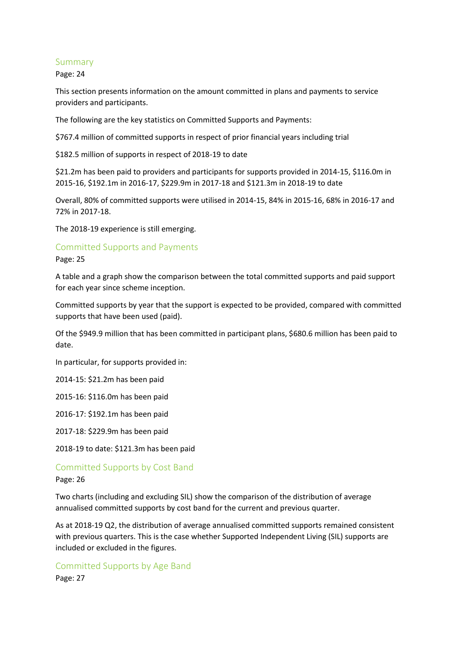#### Summary

Page: 24

This section presents information on the amount committed in plans and payments to service providers and participants.

The following are the key statistics on Committed Supports and Payments:

\$767.4 million of committed supports in respect of prior financial years including trial

\$182.5 million of supports in respect of 2018-19 to date

\$21.2m has been paid to providers and participants for supports provided in 2014-15, \$116.0m in 2015-16, \$192.1m in 2016-17, \$229.9m in 2017-18 and \$121.3m in 2018-19 to date

Overall, 80% of committed supports were utilised in 2014-15, 84% in 2015-16, 68% in 2016-17 and 72% in 2017-18.

The 2018-19 experience is still emerging.

#### Committed Supports and Payments

Page: 25

A table and a graph show the comparison between the total committed supports and paid support for each year since scheme inception.

Committed supports by year that the support is expected to be provided, compared with committed supports that have been used (paid).

Of the \$949.9 million that has been committed in participant plans, \$680.6 million has been paid to date.

In particular, for supports provided in:

2014-15: \$21.2m has been paid

2015-16: \$116.0m has been paid

2016-17: \$192.1m has been paid

2017-18: \$229.9m has been paid

2018-19 to date: \$121.3m has been paid

Committed Supports by Cost Band

Page: 26

Two charts (including and excluding SIL) show the comparison of the distribution of average annualised committed supports by cost band for the current and previous quarter.

As at 2018-19 Q2, the distribution of average annualised committed supports remained consistent with previous quarters. This is the case whether Supported Independent Living (SIL) supports are included or excluded in the figures.

Committed Supports by Age Band Page: 27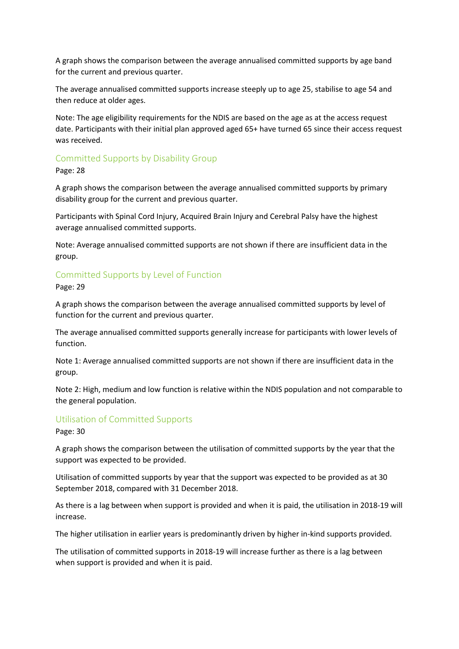A graph shows the comparison between the average annualised committed supports by age band for the current and previous quarter.

The average annualised committed supports increase steeply up to age 25, stabilise to age 54 and then reduce at older ages.

Note: The age eligibility requirements for the NDIS are based on the age as at the access request date. Participants with their initial plan approved aged 65+ have turned 65 since their access request was received.

## Committed Supports by Disability Group

Page: 28

A graph shows the comparison between the average annualised committed supports by primary disability group for the current and previous quarter.

Participants with Spinal Cord Injury, Acquired Brain Injury and Cerebral Palsy have the highest average annualised committed supports.

Note: Average annualised committed supports are not shown if there are insufficient data in the group.

## Committed Supports by Level of Function

Page: 29

A graph shows the comparison between the average annualised committed supports by level of function for the current and previous quarter.

The average annualised committed supports generally increase for participants with lower levels of function.

Note 1: Average annualised committed supports are not shown if there are insufficient data in the group.

Note 2: High, medium and low function is relative within the NDIS population and not comparable to the general population.

## Utilisation of Committed Supports

Page: 30

A graph shows the comparison between the utilisation of committed supports by the year that the support was expected to be provided.

Utilisation of committed supports by year that the support was expected to be provided as at 30 September 2018, compared with 31 December 2018.

As there is a lag between when support is provided and when it is paid, the utilisation in 2018-19 will increase.

The higher utilisation in earlier years is predominantly driven by higher in-kind supports provided.

The utilisation of committed supports in 2018-19 will increase further as there is a lag between when support is provided and when it is paid.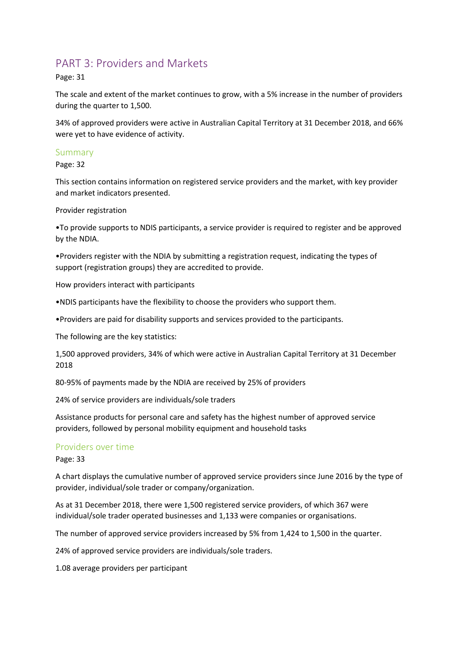## PART 3: Providers and Markets

Page: 31

The scale and extent of the market continues to grow, with a 5% increase in the number of providers during the quarter to 1,500.

34% of approved providers were active in Australian Capital Territory at 31 December 2018, and 66% were yet to have evidence of activity.

#### Summary

Page: 32

This section contains information on registered service providers and the market, with key provider and market indicators presented.

Provider registration

•To provide supports to NDIS participants, a service provider is required to register and be approved by the NDIA.

•Providers register with the NDIA by submitting a registration request, indicating the types of support (registration groups) they are accredited to provide.

How providers interact with participants

•NDIS participants have the flexibility to choose the providers who support them.

•Providers are paid for disability supports and services provided to the participants.

The following are the key statistics:

1,500 approved providers, 34% of which were active in Australian Capital Territory at 31 December 2018

80-95% of payments made by the NDIA are received by 25% of providers

24% of service providers are individuals/sole traders

Assistance products for personal care and safety has the highest number of approved service providers, followed by personal mobility equipment and household tasks

#### Providers over time

Page: 33

A chart displays the cumulative number of approved service providers since June 2016 by the type of provider, individual/sole trader or company/organization.

As at 31 December 2018, there were 1,500 registered service providers, of which 367 were individual/sole trader operated businesses and 1,133 were companies or organisations.

The number of approved service providers increased by 5% from 1,424 to 1,500 in the quarter.

24% of approved service providers are individuals/sole traders.

1.08 average providers per participant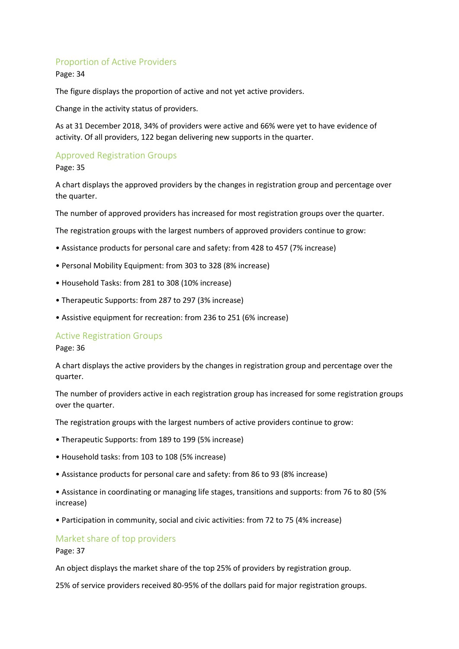### Proportion of Active Providers

Page: 34

The figure displays the proportion of active and not yet active providers.

Change in the activity status of providers.

As at 31 December 2018, 34% of providers were active and 66% were yet to have evidence of activity. Of all providers, 122 began delivering new supports in the quarter.

## Approved Registration Groups

Page: 35

A chart displays the approved providers by the changes in registration group and percentage over the quarter.

The number of approved providers has increased for most registration groups over the quarter.

The registration groups with the largest numbers of approved providers continue to grow:

- Assistance products for personal care and safety: from 428 to 457 (7% increase)
- Personal Mobility Equipment: from 303 to 328 (8% increase)
- Household Tasks: from 281 to 308 (10% increase)
- Therapeutic Supports: from 287 to 297 (3% increase)
- Assistive equipment for recreation: from 236 to 251 (6% increase)

#### Active Registration Groups

Page: 36

A chart displays the active providers by the changes in registration group and percentage over the quarter.

The number of providers active in each registration group has increased for some registration groups over the quarter.

The registration groups with the largest numbers of active providers continue to grow:

- Therapeutic Supports: from 189 to 199 (5% increase)
- Household tasks: from 103 to 108 (5% increase)
- Assistance products for personal care and safety: from 86 to 93 (8% increase)

• Assistance in coordinating or managing life stages, transitions and supports: from 76 to 80 (5% increase)

• Participation in community, social and civic activities: from 72 to 75 (4% increase)

## Market share of top providers

Page: 37

An object displays the market share of the top 25% of providers by registration group.

25% of service providers received 80-95% of the dollars paid for major registration groups.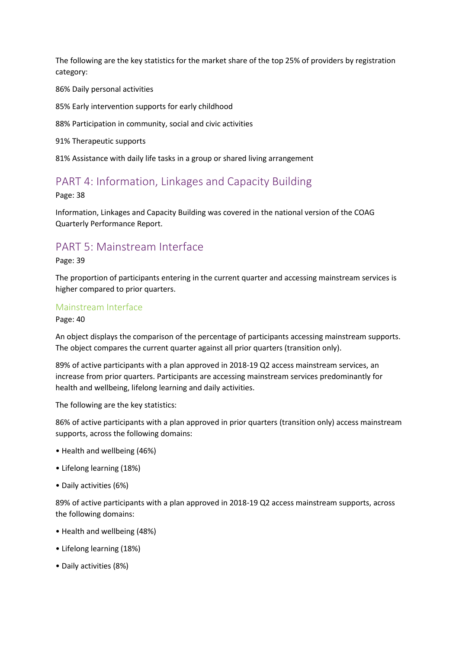The following are the key statistics for the market share of the top 25% of providers by registration category:

86% Daily personal activities

85% Early intervention supports for early childhood

88% Participation in community, social and civic activities

91% Therapeutic supports

81% Assistance with daily life tasks in a group or shared living arrangement

## PART 4: Information, Linkages and Capacity Building

Page: 38

Information, Linkages and Capacity Building was covered in the national version of the COAG Quarterly Performance Report.

## PART 5: Mainstream Interface

Page: 39

The proportion of participants entering in the current quarter and accessing mainstream services is higher compared to prior quarters.

#### Mainstream Interface

Page: 40

An object displays the comparison of the percentage of participants accessing mainstream supports. The object compares the current quarter against all prior quarters (transition only).

89% of active participants with a plan approved in 2018-19 Q2 access mainstream services, an increase from prior quarters. Participants are accessing mainstream services predominantly for health and wellbeing, lifelong learning and daily activities.

The following are the key statistics:

86% of active participants with a plan approved in prior quarters (transition only) access mainstream supports, across the following domains:

- Health and wellbeing (46%)
- Lifelong learning (18%)
- Daily activities (6%)

89% of active participants with a plan approved in 2018-19 Q2 access mainstream supports, across the following domains:

- Health and wellbeing (48%)
- Lifelong learning (18%)
- Daily activities (8%)